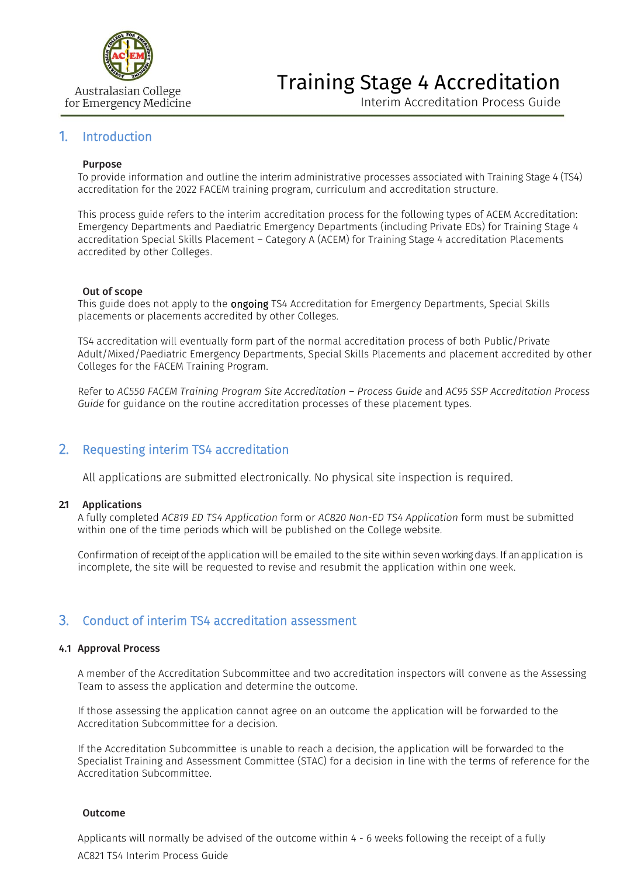

# Training Stage 4 Accreditation

Interim Accreditation Process Guide

# 1. Introduction

#### Purpose

To provide information and outline the interim administrative processes associated with Training Stage 4 (TS4) accreditation for the 2022 FACEM training program, curriculum and accreditation structure.

This process guide refers to the interim accreditation process for the following types of ACEM Accreditation: Emergency Departments and Paediatric Emergency Departments (including Private EDs) for Training Stage 4 accreditation Special Skills Placement – Category A (ACEM) for Training Stage 4 accreditation Placements accredited by other Colleges.

#### Out of scope

This guide does not apply to the **ongoing** TS4 Accreditation for Emergency Departments, Special Skills placements or placements accredited by other Colleges.

TS4 accreditation will eventually form part of the normal accreditation process of both Public/Private Adult/Mixed/Paediatric Emergency Departments, Special Skills Placements and placement accredited by other Colleges for the FACEM Training Program.

Refer to *[AC550 FACEM Training Program Site Accreditation](https://acem.org.au/getmedia/54966000-dbfd-44ce-aa19-8ae7e8f5cba5/AC550_1-5.aspx) – [Process Guide](https://acem.org.au/getmedia/54966000-dbfd-44ce-aa19-8ae7e8f5cba5/AC550_1-5.aspx)* and *AC95 SSP Accreditation Process Guide* for guidance on the routine accreditation processes of these placement types.

# 2. Requesting interim TS4 accreditation

All applications are submitted electronically. No physical site inspection is required.

### **2.1** Applications

A fully completed *AC819 ED TS4 Application* form or *AC820 Non-ED TS4 Application* form must be submitted within one of the time periods which will be published on the College website.

Confirmation of receipt of the application will be emailed to the site within seven working days. If an application is incomplete, the site will be requested to revise and resubmit the application within one week.

# 3. Conduct of interim TS4 accreditation assessment

#### 4.1 Approval Process

A member of the Accreditation Subcommittee and two accreditation inspectors will convene as the Assessing Team to assess the application and determine the outcome.

If those assessing the application cannot agree on an outcome the application will be forwarded to the Accreditation Subcommittee for a decision.

If the Accreditation Subcommittee is unable to reach a decision, the application will be forwarded to the Specialist Training and Assessment Committee (STAC) for a decision in line with the terms of reference for the Accreditation Subcommittee.

### Outcome

AC821 TS4 Interim Process Guide Applicants will normally be advised of the outcome within 4 - 6 weeks following the receipt of a fully